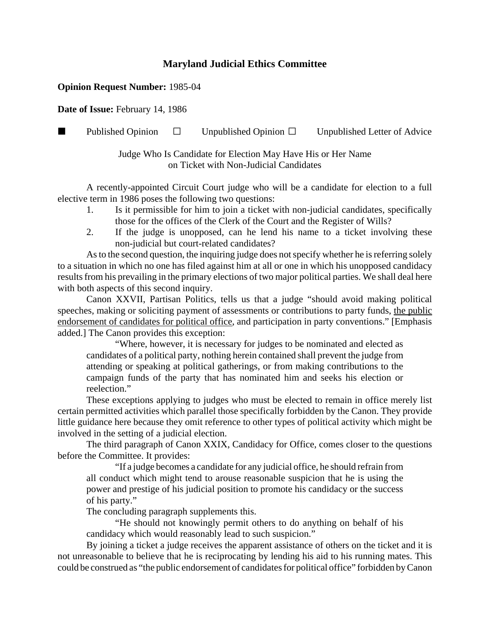## **Maryland Judicial Ethics Committee**

## **Opinion Request Number:** 1985-04

**Date of Issue:** February 14, 1986

**Published Opinion**  $\Box$  Unpublished Opinion  $\Box$  Unpublished Letter of Advice

Judge Who Is Candidate for Election May Have His or Her Name on Ticket with Non-Judicial Candidates

A recently-appointed Circuit Court judge who will be a candidate for election to a full elective term in 1986 poses the following two questions:

- 1. Is it permissible for him to join a ticket with non-judicial candidates, specifically those for the offices of the Clerk of the Court and the Register of Wills?
- 2. If the judge is unopposed, can he lend his name to a ticket involving these non-judicial but court-related candidates?

As to the second question, the inquiring judge does not specify whether he is referring solely to a situation in which no one has filed against him at all or one in which his unopposed candidacy results from his prevailing in the primary elections of two major political parties. We shall deal here with both aspects of this second inquiry.

Canon XXVII, Partisan Politics, tells us that a judge "should avoid making political speeches, making or soliciting payment of assessments or contributions to party funds, the public endorsement of candidates for political office, and participation in party conventions." [Emphasis added.] The Canon provides this exception:

"Where, however, it is necessary for judges to be nominated and elected as candidates of a political party, nothing herein contained shall prevent the judge from attending or speaking at political gatherings, or from making contributions to the campaign funds of the party that has nominated him and seeks his election or reelection."

These exceptions applying to judges who must be elected to remain in office merely list certain permitted activities which parallel those specifically forbidden by the Canon. They provide little guidance here because they omit reference to other types of political activity which might be involved in the setting of a judicial election.

The third paragraph of Canon XXIX, Candidacy for Office, comes closer to the questions before the Committee. It provides:

"If a judge becomes a candidate for any judicial office, he should refrain from all conduct which might tend to arouse reasonable suspicion that he is using the power and prestige of his judicial position to promote his candidacy or the success of his party."

The concluding paragraph supplements this.

"He should not knowingly permit others to do anything on behalf of his candidacy which would reasonably lead to such suspicion."

By joining a ticket a judge receives the apparent assistance of others on the ticket and it is not unreasonable to believe that he is reciprocating by lending his aid to his running mates. This could be construed as "the public endorsement of candidates for political office" forbidden by Canon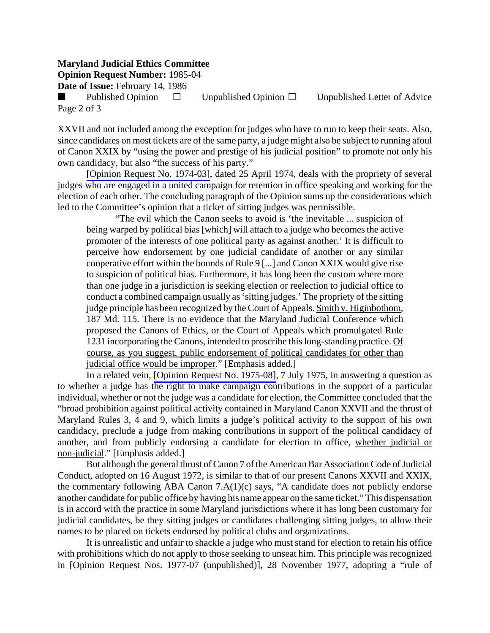## **Maryland Judicial Ethics Committee**

**Opinion Request Number:** 1985-04

**Date of Issue:** February 14, 1986

Published Opinion  $\Box$  Unpublished Opinion  $\Box$  Unpublished Letter of Advice Page 2 of 3

XXVII and not included among the exception for judges who have to run to keep their seats. Also, since candidates on most tickets are of the same party, a judge might also be subject to running afoul of Canon XXIX by "using the power and prestige of his judicial position" to promote not only his own candidacy, but also "the success of his party."

[\[Opinion Request No. 1974-03\],](http://www.mdcourts.gov/ethics/pdfs/1974-03.pdf) dated 25 April 1974, deals with the propriety of several judges who are engaged in a united campaign for retention in office speaking and working for the election of each other. The concluding paragraph of the Opinion sums up the considerations which led to the Committee's opinion that a ticket of sitting judges was permissible.

"The evil which the Canon seeks to avoid is 'the inevitable ... suspicion of being warped by political bias [which] will attach to a judge who becomes the active promoter of the interests of one political party as against another.' It is difficult to perceive how endorsement by one judicial candidate of another or any similar cooperative effort within the bounds of Rule 9 [...] and Canon XXIX would give rise to suspicion of political bias. Furthermore, it has long been the custom where more than one judge in a jurisdiction is seeking election or reelection to judicial office to conduct a combined campaign usually as 'sitting judges.' The propriety of the sitting judge principle has been recognized by the Court of Appeals. Smith v. Higinbothom, 187 Md. 115. There is no evidence that the Maryland Judicial Conference which proposed the Canons of Ethics, or the Court of Appeals which promulgated Rule 1231 incorporating the Canons, intended to proscribe this long-standing practice. Of course, as you suggest, public endorsement of political candidates for other than judicial office would be improper." [Emphasis added.]

In a related vein, [\[Opinion Request No. 1975-08\],](http://www.mdcourts.gov/ethics/pdfs/1975-08.pdf) 7 July 1975, in answering a question as to whether a judge has the right to make campaign contributions in the support of a particular individual, whether or not the judge was a candidate for election, the Committee concluded that the "broad prohibition against political activity contained in Maryland Canon XXVII and the thrust of Maryland Rules 3, 4 and 9, which limits a judge's political activity to the support of his own candidacy, preclude a judge from making contributions in support of the political candidacy of another, and from publicly endorsing a candidate for election to office, whether judicial or non-judicial." [Emphasis added.]

But although the general thrust of Canon 7 of the American Bar Association Code of Judicial Conduct, adopted on 16 August 1972, is similar to that of our present Canons XXVII and XXIX, the commentary following ABA Canon 7.A(1)(c) says, "A candidate does not publicly endorse another candidate for public office by having his name appear on the same ticket." This dispensation is in accord with the practice in some Maryland jurisdictions where it has long been customary for judicial candidates, be they sitting judges or candidates challenging sitting judges, to allow their names to be placed on tickets endorsed by political clubs and organizations.

It is unrealistic and unfair to shackle a judge who must stand for election to retain his office with prohibitions which do not apply to those seeking to unseat him. This principle was recognized in [Opinion Request Nos. 1977-07 (unpublished)], 28 November 1977, adopting a "rule of